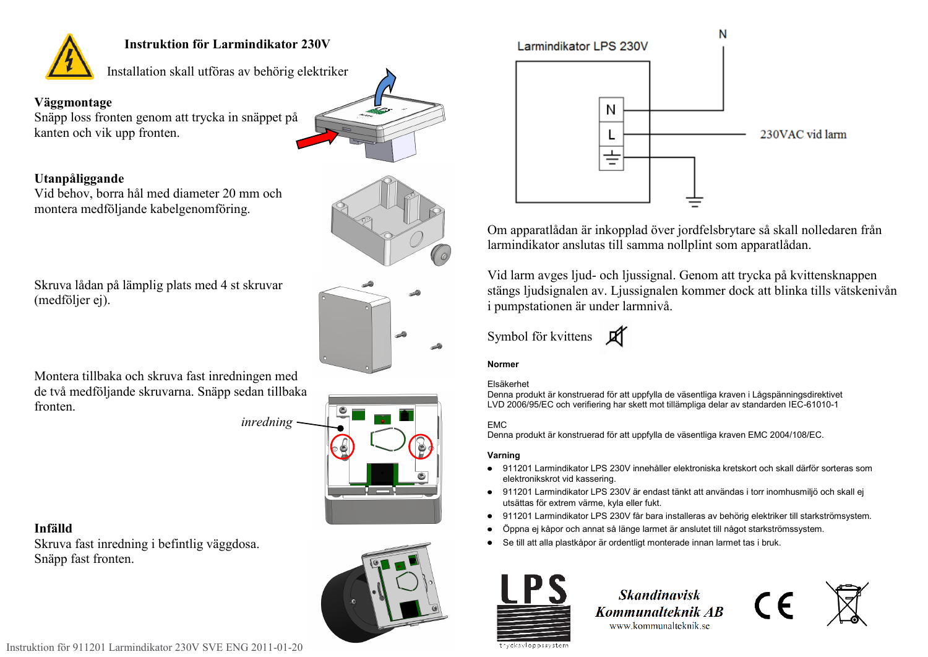

## **Instruktion för Larmindikator 230V**

Installation skall utföras av behörig elektriker

## **Väggmontage**

Snäpp loss fronten genom att trycka in snäppet på kanten och vik upp fronten.



Vid behov, borra hål med diameter 20 mm och montera medföljande kabelgenomföring.





Skruva lådan på lämplig plats med 4 st skruvar (medföljer ej).



Montera tillbaka och skruva fast inredningen med de två medföljande skruvarna. Snäpp sedan tillbaka fronten.

*inredning*



# **Infälld**

Skruva fast inredning i befintlig väggdosa. Snäpp fast fronten.





Om apparatlådan är inkopplad över jordfelsbrytare så skall nolledaren från larmindikator anslutas till samma nollplint som apparatlådan.

Vid larm avges ljud- och ljussignal. Genom att trycka på kvittensknappen stängs ljudsignalen av. Ljussignalen kommer dock att blinka tills vätskenivån i pumpstationen är under larmnivå.

Symbol för kvittens **If** 

## **Normer**

#### Elsäkerhet

Denna produkt är konstruerad för att uppfylla de väsentliga kraven i Lågspänningsdirektivet LVD 2006/95/EC och verifiering har skett mot tillämpliga delar av standarden IEC-61010-1

## EMC

Denna produkt är konstruerad för att uppfylla de väsentliga kraven EMC 2004/108/EC.

## **Varning**

- 911201 Larmindikator LPS 230V innehåller elektroniska kretskort och skall därför sorteras som elektronikskrot vid kassering.
- 911201 Larmindikator LPS 230V är endast tänkt att användas i torr inomhusmiljö och skall ej utsättas för extrem värme, kyla eller fukt.
- 911201 Larmindikator LPS 230V får bara installeras av behörig elektriker till starkströmsystem.  $\bullet$
- $\bullet$ Öppna ej kåpor och annat så länge larmet är anslutet till något starkströmssystem.
- Se till att alla plastkåpor är ordentligt monterade innan larmet tas i bruk.



**Skandinavisk** Kommunalteknik AB www.kommunalteknik.se